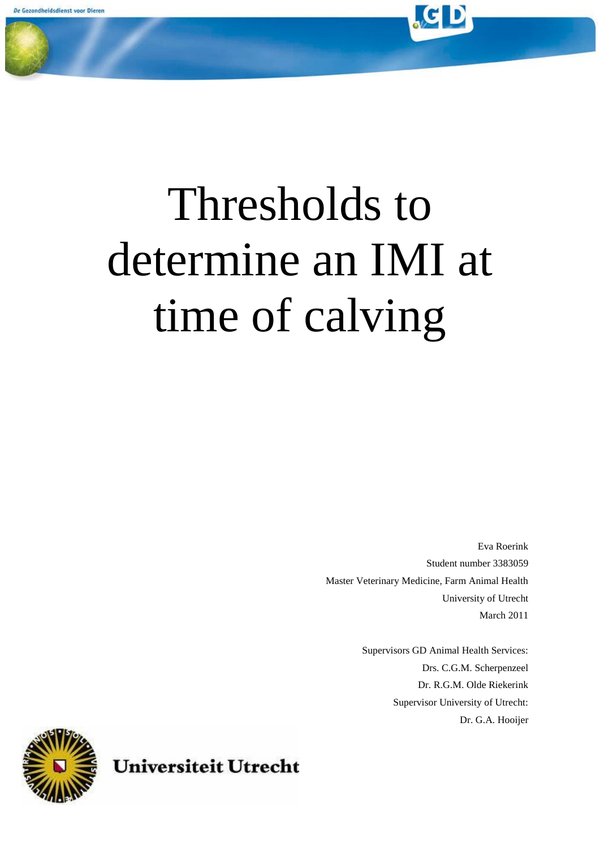

Eva Roerink Student number 3383059 Master Veterinary Medicine, Farm Animal Health University of Utrecht March 2011

> Supervisors GD Animal Health Services: Drs. C.G.M. Scherpenzeel Dr. R.G.M. Olde Riekerink Supervisor University of Utrecht: Dr. G.A. Hooijer



**Universiteit Utrecht**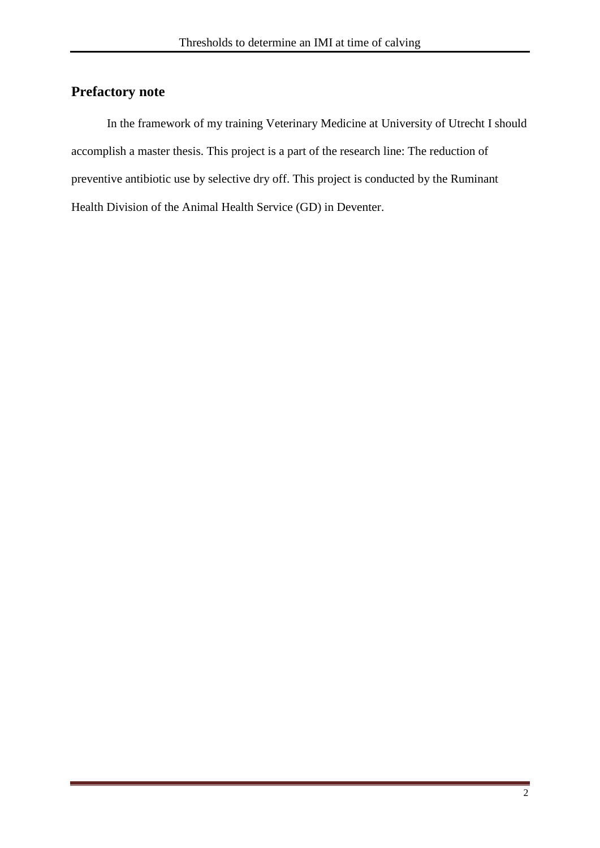## <span id="page-1-0"></span>**Prefactory note**

In the framework of my training Veterinary Medicine at University of Utrecht I should accomplish a master thesis. This project is a part of the research line: The reduction of preventive antibiotic use by selective dry off. This project is conducted by the Ruminant Health Division of the Animal Health Service (GD) in Deventer.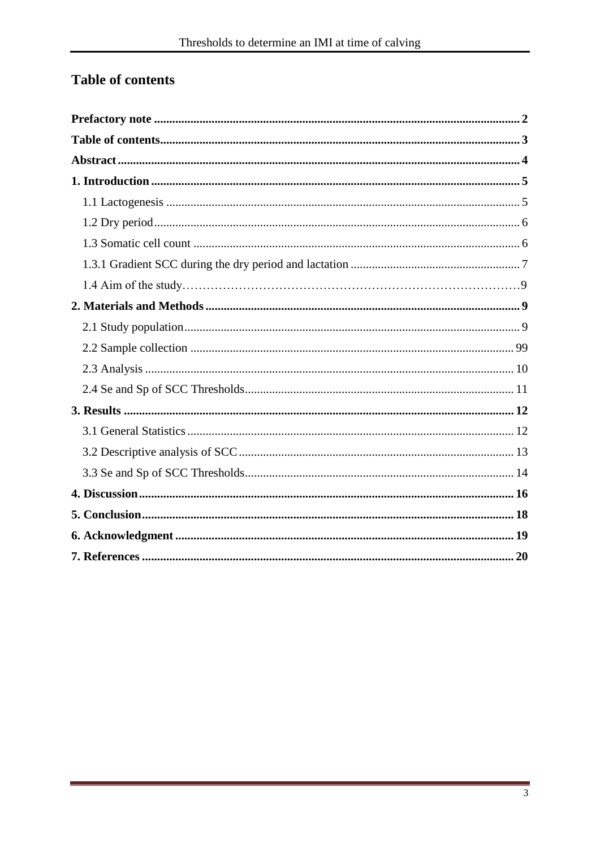# <span id="page-2-0"></span>Table of contents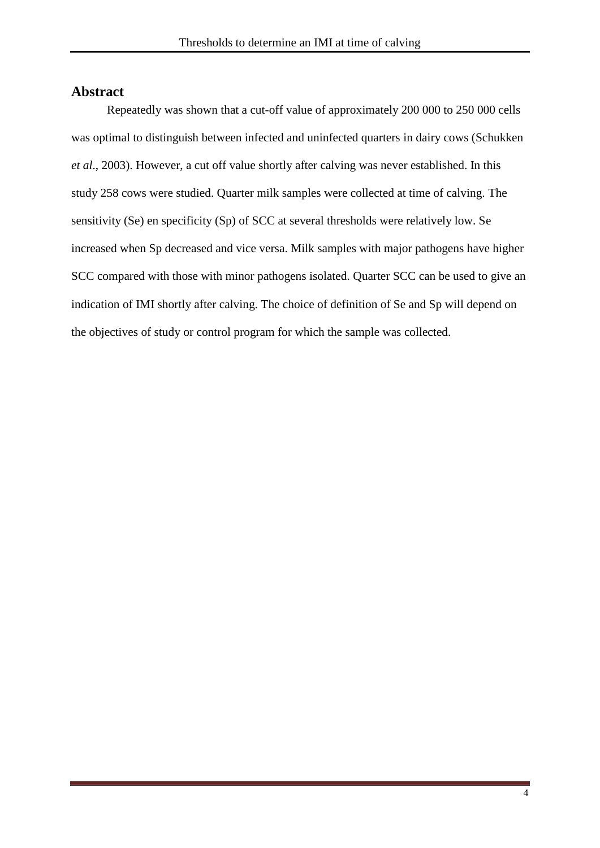## <span id="page-3-0"></span>**Abstract**

Repeatedly was shown that a cut-off value of approximately 200 000 to 250 000 cells was optimal to distinguish between infected and uninfected quarters in dairy cows (Schukken *et al*., 2003). However, a cut off value shortly after calving was never established. In this study 258 cows were studied. Quarter milk samples were collected at time of calving. The sensitivity (Se) en specificity (Sp) of SCC at several thresholds were relatively low. Se increased when Sp decreased and vice versa. Milk samples with major pathogens have higher SCC compared with those with minor pathogens isolated. Quarter SCC can be used to give an indication of IMI shortly after calving. The choice of definition of Se and Sp will depend on the objectives of study or control program for which the sample was collected.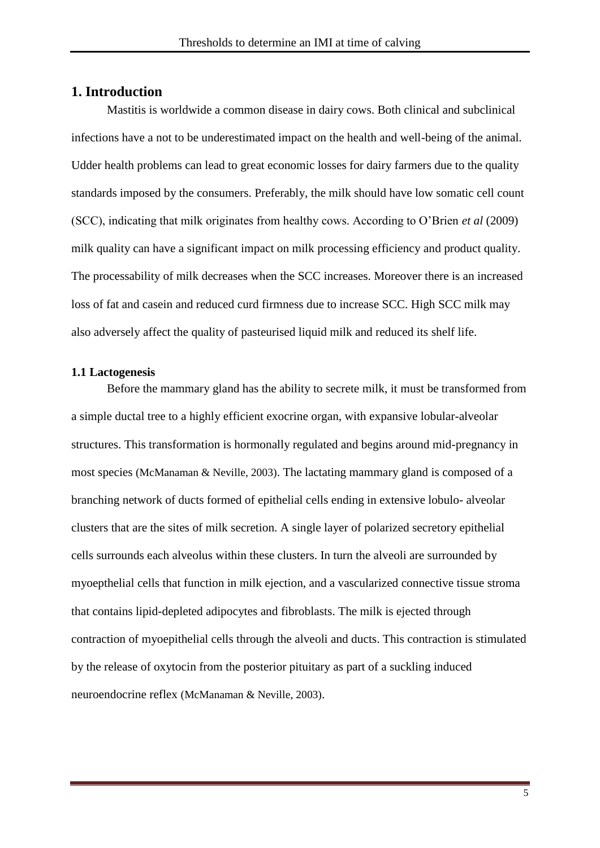### <span id="page-4-0"></span>**1. Introduction**

Mastitis is worldwide a common disease in dairy cows. Both clinical and subclinical infections have a not to be underestimated impact on the health and well-being of the animal. Udder health problems can lead to great economic losses for dairy farmers due to the quality standards imposed by the consumers. Preferably, the milk should have low somatic cell count (SCC), indicating that milk originates from healthy cows. According to O'Brien *et al* (2009) milk quality can have a significant impact on milk processing efficiency and product quality. The processability of milk decreases when the SCC increases. Moreover there is an increased loss of fat and casein and reduced curd firmness due to increase SCC. High SCC milk may also adversely affect the quality of pasteurised liquid milk and reduced its shelf life.

#### <span id="page-4-1"></span>**1.1 Lactogenesis**

Before the mammary gland has the ability to secrete milk, it must be transformed from a simple ductal tree to a highly efficient exocrine organ, with expansive lobular-alveolar structures. This transformation is hormonally regulated and begins around mid-pregnancy in most species (McManaman & Neville, 2003). The lactating mammary gland is composed of a branching network of ducts formed of epithelial cells ending in extensive lobulo- alveolar clusters that are the sites of milk secretion. A single layer of polarized secretory epithelial cells surrounds each alveolus within these clusters. In turn the alveoli are surrounded by myoepthelial cells that function in milk ejection, and a vascularized connective tissue stroma that contains lipid-depleted adipocytes and fibroblasts. The milk is ejected through contraction of myoepithelial cells through the alveoli and ducts. This contraction is stimulated by the release of oxytocin from the posterior pituitary as part of a suckling induced neuroendocrine reflex (McManaman & Neville, 2003).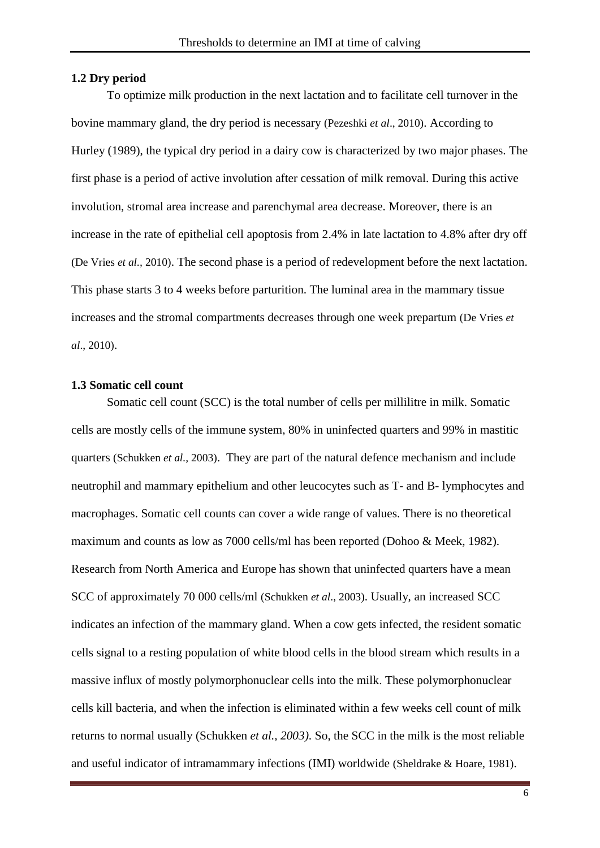#### <span id="page-5-0"></span>**1.2 Dry period**

To optimize milk production in the next lactation and to facilitate cell turnover in the bovine mammary gland, the dry period is necessary (Pezeshki *et al*., 2010). According to Hurley (1989), the typical dry period in a dairy cow is characterized by two major phases. The first phase is a period of active involution after cessation of milk removal. During this active involution, stromal area increase and parenchymal area decrease. Moreover, there is an increase in the rate of epithelial cell apoptosis from 2.4% in late lactation to 4.8% after dry off (De Vries *et al.,* 2010). The second phase is a period of redevelopment before the next lactation. This phase starts 3 to 4 weeks before parturition. The luminal area in the mammary tissue increases and the stromal compartments decreases through one week prepartum (De Vries *et al*., 2010).

#### <span id="page-5-1"></span>**1.3 Somatic cell count**

Somatic cell count (SCC) is the total number of cells per millilitre in milk. Somatic cells are mostly cells of the immune system, 80% in uninfected quarters and 99% in mastitic quarters (Schukken *et al.,* 2003). They are part of the natural defence mechanism and include neutrophil and mammary epithelium and other leucocytes such as T- and B- lymphocytes and macrophages. Somatic cell counts can cover a wide range of values. There is no theoretical maximum and counts as low as 7000 cells/ml has been reported (Dohoo & Meek, 1982). Research from North America and Europe has shown that uninfected quarters have a mean SCC of approximately 70 000 cells/ml (Schukken *et al*., 2003). Usually, an increased SCC indicates an infection of the mammary gland. When a cow gets infected, the resident somatic cells signal to a resting population of white blood cells in the blood stream which results in a massive influx of mostly polymorphonuclear cells into the milk. These polymorphonuclear cells kill bacteria, and when the infection is eliminated within a few weeks cell count of milk returns to normal usually (Schukken *et al., 2003)*. So, the SCC in the milk is the most reliable and useful indicator of intramammary infections (IMI) worldwide (Sheldrake & Hoare, 1981).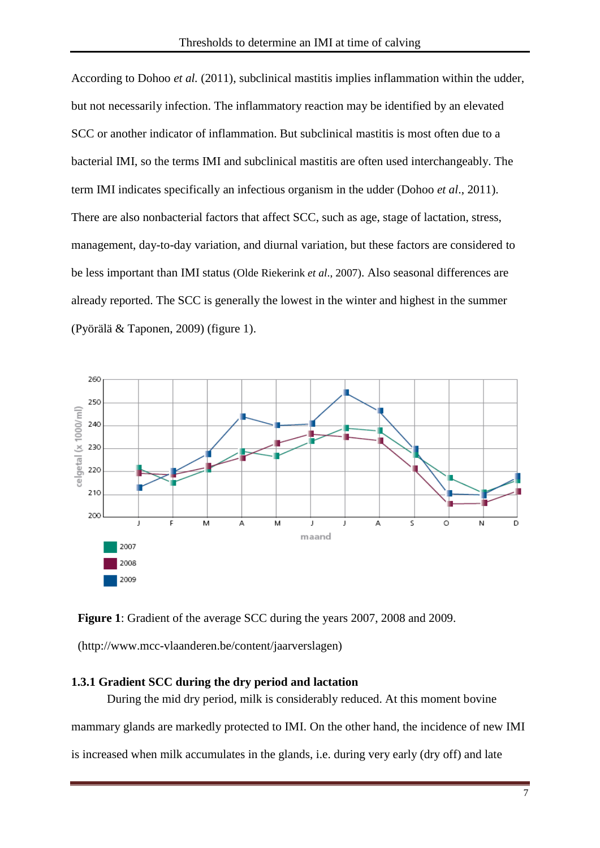According to Dohoo *et al.* (2011), subclinical mastitis implies inflammation within the udder, but not necessarily infection. The inflammatory reaction may be identified by an elevated SCC or another indicator of inflammation. But subclinical mastitis is most often due to a bacterial IMI, so the terms IMI and subclinical mastitis are often used interchangeably. The term IMI indicates specifically an infectious organism in the udder (Dohoo *et al*., 2011). There are also nonbacterial factors that affect SCC, such as age, stage of lactation, stress, management, day-to-day variation, and diurnal variation, but these factors are considered to be less important than IMI status (Olde Riekerink *et al*., 2007). Also seasonal differences are already reported. The SCC is generally the lowest in the winter and highest in the summer (Pyörälä & Taponen, 2009) (figure 1).



**Figure 1**: Gradient of the average SCC during the years 2007, 2008 and 2009.

(http://www.mcc-vlaanderen.be/content/jaarverslagen)

## <span id="page-6-0"></span>**1.3.1 Gradient SCC during the dry period and lactation**

During the mid dry period, milk is considerably reduced. At this moment bovine

mammary glands are markedly protected to IMI. On the other hand, the incidence of new IMI

is increased when milk accumulates in the glands, i.e. during very early (dry off) and late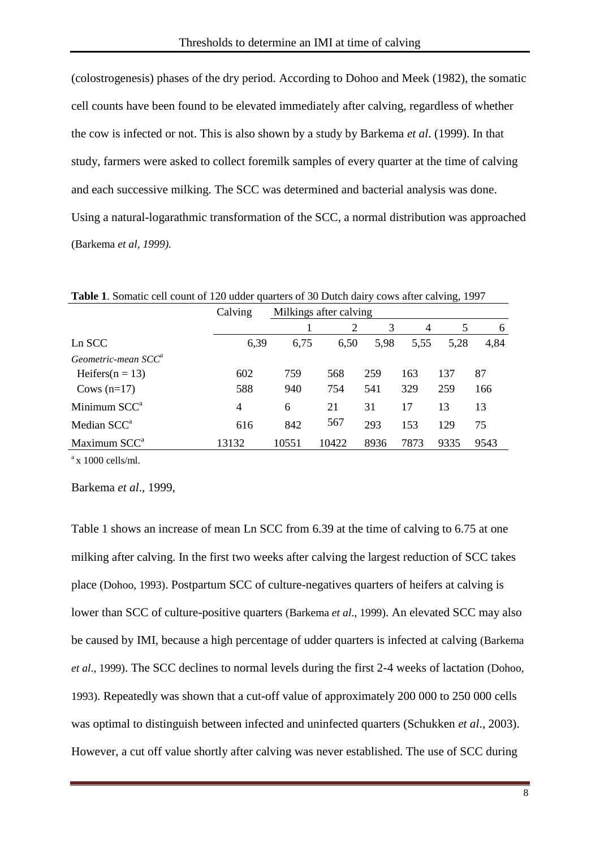(colostrogenesis) phases of the dry period. According to Dohoo and Meek (1982), the somatic cell counts have been found to be elevated immediately after calving, regardless of whether the cow is infected or not. This is also shown by a study by Barkema *et al*. (1999). In that study, farmers were asked to collect foremilk samples of every quarter at the time of calving and each successive milking. The SCC was determined and bacterial analysis was done. Using a natural-logarathmic transformation of the SCC, a normal distribution was approached (Barkema *et al, 1999).* 

| <b>Table 1.</b> Somally cell count of 120 added quarters of 30 Dutch daily cows after carving, 1997 |         |                        |       |      |                |      |      |  |
|-----------------------------------------------------------------------------------------------------|---------|------------------------|-------|------|----------------|------|------|--|
|                                                                                                     | Calving | Milkings after calving |       |      |                |      |      |  |
|                                                                                                     |         |                        | 2     | 3    | $\overline{4}$ | 5    | 6    |  |
| Ln SCC                                                                                              | 6,39    | 6,75                   | 6,50  | 5,98 | 5.55           | 5.28 | 4,84 |  |
| Geometric-mean $SCC^a$                                                                              |         |                        |       |      |                |      |      |  |
| Heifers( $n = 13$ )                                                                                 | 602     | 759                    | 568   | 259  | 163            | 137  | 87   |  |
| Cows $(n=17)$                                                                                       | 588     | 940                    | 754   | 541  | 329            | 259  | 166  |  |
| Minimum SCC <sup>a</sup>                                                                            | 4       | 6                      | 21    | 31   | 17             | 13   | 13   |  |
| Median SCC <sup>a</sup>                                                                             | 616     | 842                    | 567   | 293  | 153            | 129  | 75   |  |
| Maximum SCC <sup>a</sup>                                                                            | 13132   | 10551                  | 10422 | 8936 | 7873           | 9335 | 9543 |  |

**Table 1**. Somatic cell count of 120 udder quarters of 30 Dutch dairy cows after calving, 1997

 $a \times 1000$  cells/ml.

Barkema *et al*., 1999,

Table 1 shows an increase of mean Ln SCC from 6.39 at the time of calving to 6.75 at one milking after calving. In the first two weeks after calving the largest reduction of SCC takes place (Dohoo, 1993). Postpartum SCC of culture-negatives quarters of heifers at calving is lower than SCC of culture-positive quarters (Barkema *et al*., 1999). An elevated SCC may also be caused by IMI, because a high percentage of udder quarters is infected at calving (Barkema *et al*., 1999). The SCC declines to normal levels during the first 2-4 weeks of lactation (Dohoo, 1993). Repeatedly was shown that a cut-off value of approximately 200 000 to 250 000 cells was optimal to distinguish between infected and uninfected quarters (Schukken *et al*., 2003). However, a cut off value shortly after calving was never established. The use of SCC during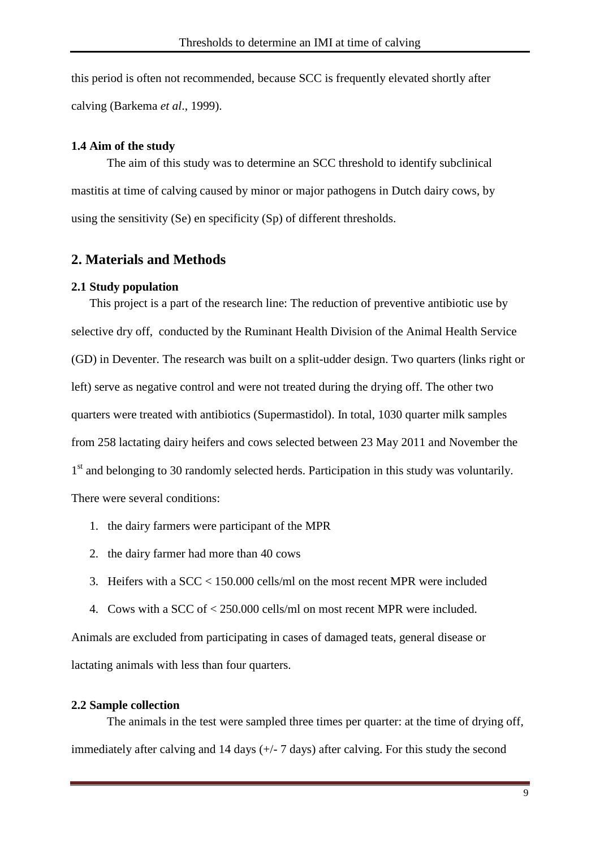this period is often not recommended, because SCC is frequently elevated shortly after calving (Barkema *et al*., 1999).

### **1.4 Aim of the study**

<span id="page-8-0"></span>The aim of this study was to determine an SCC threshold to identify subclinical mastitis at time of calving caused by minor or major pathogens in Dutch dairy cows, by using the sensitivity (Se) en specificity (Sp) of different thresholds.

## **2. Materials and Methods**

### <span id="page-8-1"></span>**2.1 Study population**

This project is a part of the research line: The reduction of preventive antibiotic use by selective dry off, conducted by the Ruminant Health Division of the Animal Health Service (GD) in Deventer. The research was built on a split-udder design. Two quarters (links right or left) serve as negative control and were not treated during the drying off. The other two quarters were treated with antibiotics (Supermastidol). In total, 1030 quarter milk samples from 258 lactating dairy heifers and cows selected between 23 May 2011 and November the 1<sup>st</sup> and belonging to 30 randomly selected herds. Participation in this study was voluntarily. There were several conditions:

- 1. the dairy farmers were participant of the MPR
- 2. the dairy farmer had more than 40 cows
- 3. Heifers with a SCC < 150.000 cells/ml on the most recent MPR were included
- 4. Cows with a SCC of < 250.000 cells/ml on most recent MPR were included.

Animals are excluded from participating in cases of damaged teats, general disease or lactating animals with less than four quarters.

## <span id="page-8-2"></span>**2.2 Sample collection**

The animals in the test were sampled three times per quarter: at the time of drying off, immediately after calving and 14 days (+/- 7 days) after calving. For this study the second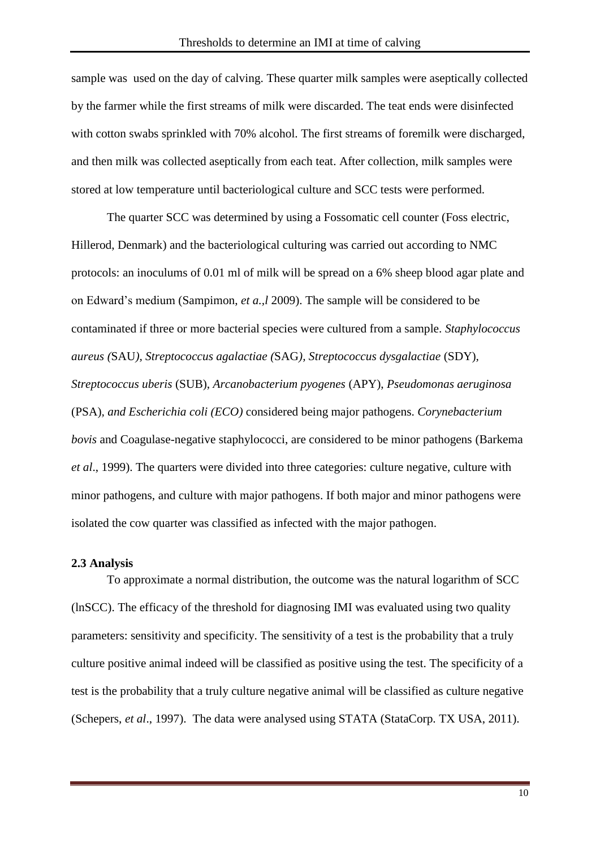sample was used on the day of calving. These quarter milk samples were aseptically collected by the farmer while the first streams of milk were discarded. The teat ends were disinfected with cotton swabs sprinkled with 70% alcohol. The first streams of foremilk were discharged, and then milk was collected aseptically from each teat. After collection, milk samples were stored at low temperature until bacteriological culture and SCC tests were performed.

The quarter SCC was determined by using a Fossomatic cell counter (Foss electric, Hillerod, Denmark) and the bacteriological culturing was carried out according to NMC protocols: an inoculums of 0.01 ml of milk will be spread on a 6% sheep blood agar plate and on Edward's medium (Sampimon, *et a.,l* 2009). The sample will be considered to be contaminated if three or more bacterial species were cultured from a sample. *Staphylococcus aureus (*SAU*), Streptococcus agalactiae (*SAG*), Streptococcus dysgalactiae* (SDY)*, Streptococcus uberis* (SUB), *Arcanobacterium pyogenes* (APY), *Pseudomonas aeruginosa* (PSA)*, and Escherichia coli (ECO)* considered being major pathogens. *Corynebacterium bovis* and Coagulase-negative staphylococci, are considered to be minor pathogens (Barkema *et al*., 1999). The quarters were divided into three categories: culture negative, culture with minor pathogens, and culture with major pathogens. If both major and minor pathogens were isolated the cow quarter was classified as infected with the major pathogen.

#### <span id="page-9-0"></span>**2.3 Analysis**

To approximate a normal distribution, the outcome was the natural logarithm of SCC (lnSCC). The efficacy of the threshold for diagnosing IMI was evaluated using two quality parameters: sensitivity and specificity. The sensitivity of a test is the probability that a truly culture positive animal indeed will be classified as positive using the test. The specificity of a test is the probability that a truly culture negative animal will be classified as culture negative (Schepers, *et al*., 1997). The data were analysed using STATA (StataCorp. TX USA, 2011).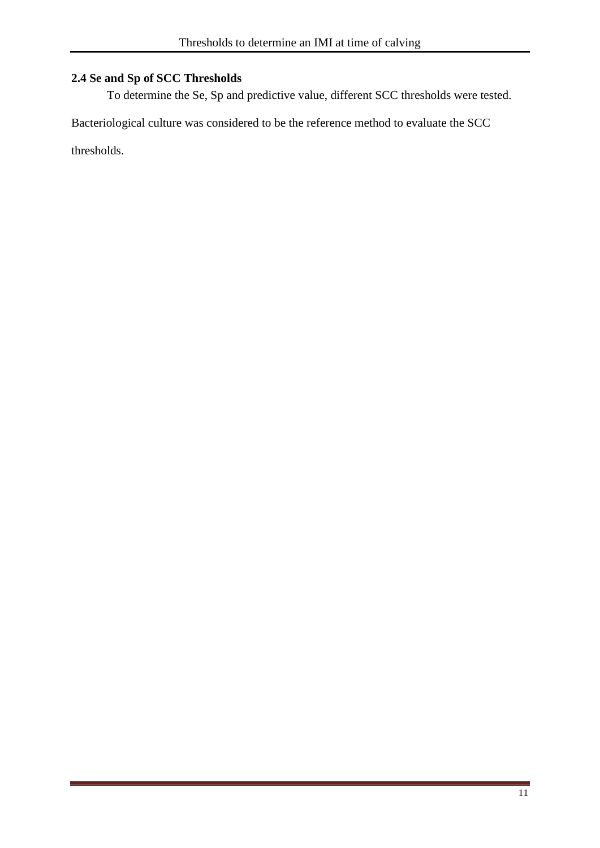## <span id="page-10-0"></span>**2.4 Se and Sp of SCC Thresholds**

To determine the Se, Sp and predictive value, different SCC thresholds were tested.

Bacteriological culture was considered to be the reference method to evaluate the SCC

thresholds.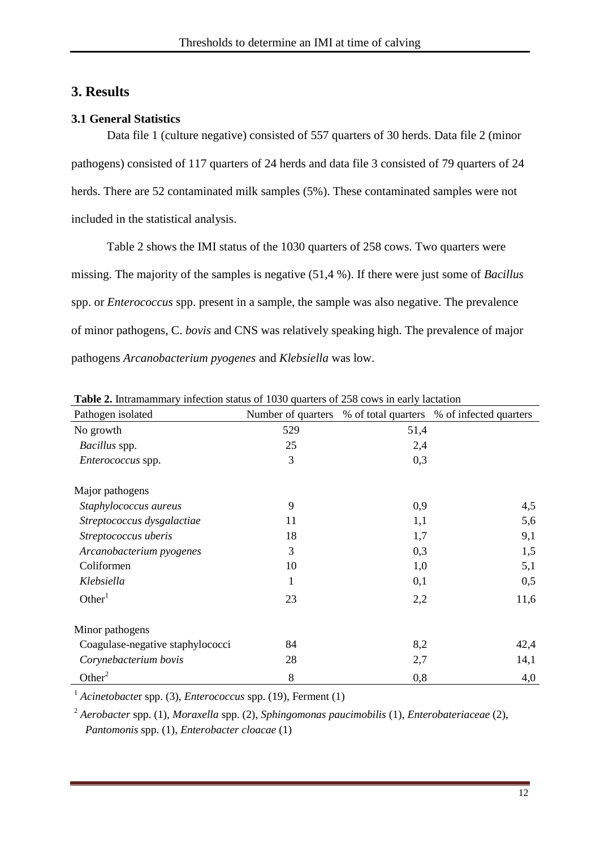## <span id="page-11-0"></span>**3. Results**

## <span id="page-11-1"></span>**3.1 General Statistics**

Data file 1 (culture negative) consisted of 557 quarters of 30 herds. Data file 2 (minor pathogens) consisted of 117 quarters of 24 herds and data file 3 consisted of 79 quarters of 24 herds. There are 52 contaminated milk samples (5%). These contaminated samples were not included in the statistical analysis.

Table 2 shows the IMI status of the 1030 quarters of 258 cows. Two quarters were missing. The majority of the samples is negative (51,4 %). If there were just some of *Bacillus*  spp. or *Enterococcus* spp. present in a sample, the sample was also negative. The prevalence of minor pathogens, C. *bovis* and CNS was relatively speaking high. The prevalence of major pathogens *Arcanobacterium pyogenes* and *Klebsiella* was low.

| Pathogen isolated                | Number of quarters | % of total quarters | % of infected quarters |
|----------------------------------|--------------------|---------------------|------------------------|
| No growth                        | 529                | 51,4                |                        |
| Bacillus spp.                    | 25                 | 2,4                 |                        |
| Enterococcus spp.                | 3                  | 0,3                 |                        |
| Major pathogens                  |                    |                     |                        |
| Staphylococcus aureus            | 9                  | 0,9                 | 4,5                    |
| Streptococcus dysgalactiae       | 11                 | 1,1                 | 5,6                    |
| Streptococcus uberis             | 18                 | 1,7                 | 9,1                    |
| Arcanobacterium pyogenes         | 3                  | 0,3                 | 1,5                    |
| Coliformen                       | 10                 | 1,0                 | 5,1                    |
| Klebsiella                       | 1                  | 0,1                 | 0,5                    |
| Other <sup>1</sup>               | 23                 | 2,2                 | 11,6                   |
| Minor pathogens                  |                    |                     |                        |
| Coagulase-negative staphylococci | 84                 | 8,2                 | 42,4                   |
| Corynebacterium bovis            | 28                 | 2,7                 | 14,1                   |
| Other <sup>2</sup>               | 8                  | 0,8                 | 4,0                    |

**Table 2.** Intramammary infection status of 1030 quarters of 258 cows in early lactation

<sup>1</sup> *Acinetobacte*r spp. (3), *Enterococcus* spp. (19), Ferment (1)

<sup>2</sup> *Aerobacter* spp. (1), *Moraxella* spp. (2), *Sphingomonas paucimobilis* (1), *Enterobateriaceae* (2), *Pantomonis* spp. (1), *Enterobacter cloacae* (1)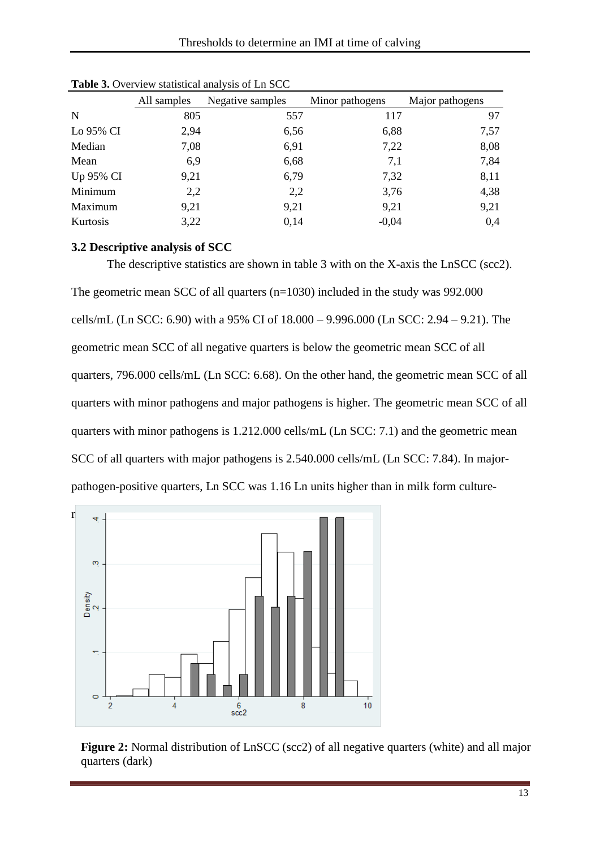|           | All samples | Negative samples | Minor pathogens | Major pathogens |  |
|-----------|-------------|------------------|-----------------|-----------------|--|
| N         | 805         | 557              | 117             | 97              |  |
| Lo 95% CI | 2,94        | 6,56             | 6,88            | 7,57            |  |
| Median    | 7,08        | 6,91             | 7,22            | 8,08            |  |
| Mean      | 6,9         | 6,68             | 7,1             | 7,84            |  |
| Up 95% CI | 9,21        | 6,79             | 7,32            | 8,11            |  |
| Minimum   | 2,2         | 2,2              | 3,76            | 4,38            |  |
| Maximum   | 9,21        | 9,21             | 9,21            | 9,21            |  |
| Kurtosis  | 3,22        | 0,14             | $-0,04$         | 0.4             |  |

Table 3. Overview statistical analysis of Ln SCC

#### <span id="page-12-0"></span>**3.2 Descriptive analysis of SCC**

The descriptive statistics are shown in table 3 with on the X-axis the LnSCC (scc2). The geometric mean SCC of all quarters (n=1030) included in the study was 992.000 cells/mL (Ln SCC: 6.90) with a 95% CI of 18.000 – 9.996.000 (Ln SCC: 2.94 – 9.21). The geometric mean SCC of all negative quarters is below the geometric mean SCC of all quarters, 796.000 cells/mL (Ln SCC: 6.68). On the other hand, the geometric mean SCC of all quarters with minor pathogens and major pathogens is higher. The geometric mean SCC of all quarters with minor pathogens is 1.212.000 cells/mL (Ln SCC: 7.1) and the geometric mean SCC of all quarters with major pathogens is 2.540.000 cells/mL (Ln SCC: 7.84). In majorpathogen-positive quarters, Ln SCC was 1.16 Ln units higher than in milk form culture-



**Figure 2:** Normal distribution of LnSCC (scc2) of all negative quarters (white) and all major quarters (dark)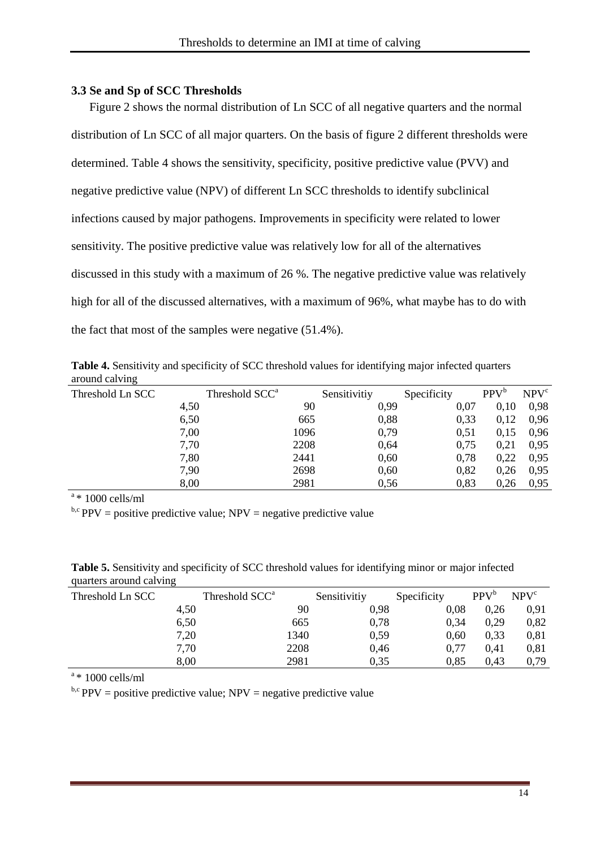### <span id="page-13-0"></span>**3.3 Se and Sp of SCC Thresholds**

Figure 2 shows the normal distribution of Ln SCC of all negative quarters and the normal distribution of Ln SCC of all major quarters. On the basis of figure 2 different thresholds were determined. Table 4 shows the sensitivity, specificity, positive predictive value (PVV) and negative predictive value (NPV) of different Ln SCC thresholds to identify subclinical infections caused by major pathogens. Improvements in specificity were related to lower sensitivity. The positive predictive value was relatively low for all of the alternatives discussed in this study with a maximum of 26 %. The negative predictive value was relatively high for all of the discussed alternatives, with a maximum of 96%, what maybe has to do with the fact that most of the samples were negative (51.4%).

**Table 4.** Sensitivity and specificity of SCC threshold values for identifying major infected quarters around calving

| Threshold Ln SCC | Threshold SCC <sup>a</sup> | Sensitivitiy | Specificity | $PPV^b$ | NPV <sup>c</sup> |
|------------------|----------------------------|--------------|-------------|---------|------------------|
| 4,50             | 90                         | 0,99         | 0.07        | 0.10    | 0,98             |
| 6,50             | 665                        | 0,88         | 0,33        | 0,12    | 0,96             |
| 7,00             | 1096                       | 0,79         | 0,51        | 0,15    | 0,96             |
| 7,70             | 2208                       | 0,64         | 0,75        | 0,21    | 0,95             |
| 7,80             | 2441                       | 0,60         | 0,78        | 0,22    | 0,95             |
| 7,90             | 2698                       | 0,60         | 0,82        | 0.26    | 0,95             |
| 8,00             | 2981                       | 0,56         | 0,83        | 0,26    | 0,95             |

 $a*1000$  cells/ml

<sup>b,c</sup> PPV = positive predictive value; NPV = negative predictive value

| quarters around carving |                            |      |              |             |                  |                  |
|-------------------------|----------------------------|------|--------------|-------------|------------------|------------------|
| Threshold Ln SCC        | Threshold SCC <sup>a</sup> |      | Sensitivitiy | Specificity | PPV <sup>b</sup> | NPV <sup>c</sup> |
| 4,50                    |                            | 90   | 0,98         | 0.08        | 0.26             | 0.91             |
| 6,50                    |                            | 665  | 0,78         | 0.34        | 0.29             | 0,82             |
| 7,20                    |                            | 1340 | 0,59         | 0,60        | 0,33             | 0,81             |
| 7,70                    |                            | 2208 | 0,46         | 0,77        | 0.41             | 0,81             |
| 8,00                    |                            | 2981 | 0,35         | 0,85        | 0.43             | 0,79             |

**Table 5.** Sensitivity and specificity of SCC threshold values for identifying minor or major infected quarters around calving

 $a*1000$  cells/ml

 $b, c$  PPV = positive predictive value; NPV = negative predictive value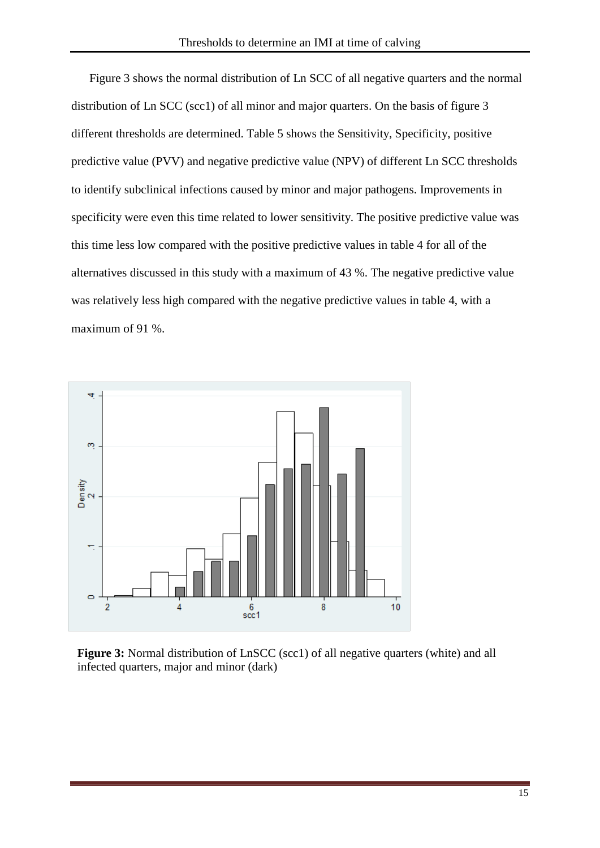Figure 3 shows the normal distribution of Ln SCC of all negative quarters and the normal distribution of Ln SCC (scc1) of all minor and major quarters. On the basis of figure 3 different thresholds are determined. Table 5 shows the Sensitivity, Specificity, positive predictive value (PVV) and negative predictive value (NPV) of different Ln SCC thresholds to identify subclinical infections caused by minor and major pathogens. Improvements in specificity were even this time related to lower sensitivity. The positive predictive value was this time less low compared with the positive predictive values in table 4 for all of the alternatives discussed in this study with a maximum of 43 %. The negative predictive value was relatively less high compared with the negative predictive values in table 4, with a maximum of 91 %.



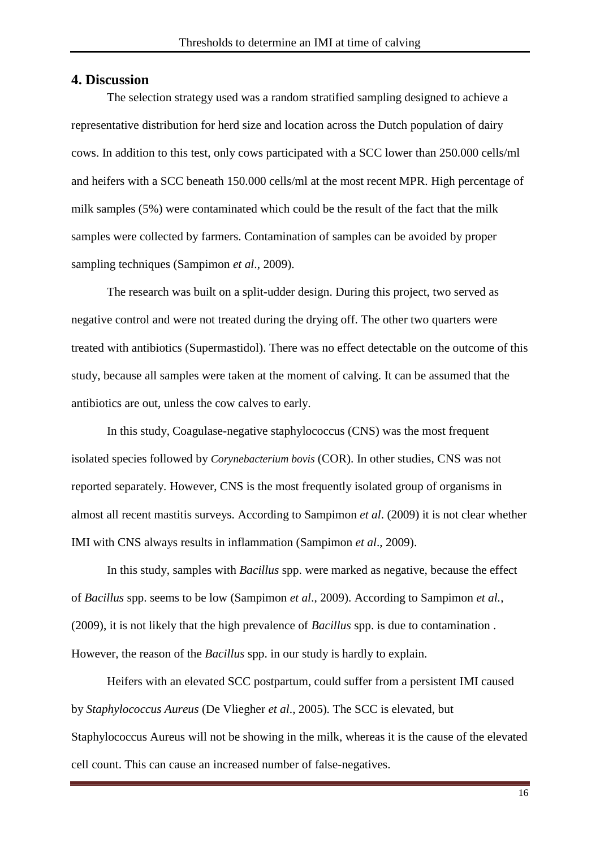#### <span id="page-15-0"></span>**4. Discussion**

The selection strategy used was a random stratified sampling designed to achieve a representative distribution for herd size and location across the Dutch population of dairy cows. In addition to this test, only cows participated with a SCC lower than 250.000 cells/ml and heifers with a SCC beneath 150.000 cells/ml at the most recent MPR. High percentage of milk samples (5%) were contaminated which could be the result of the fact that the milk samples were collected by farmers. Contamination of samples can be avoided by proper sampling techniques (Sampimon *et al*., 2009).

The research was built on a split-udder design. During this project, two served as negative control and were not treated during the drying off. The other two quarters were treated with antibiotics (Supermastidol). There was no effect detectable on the outcome of this study, because all samples were taken at the moment of calving. It can be assumed that the antibiotics are out, unless the cow calves to early.

In this study, Coagulase-negative staphylococcus (CNS) was the most frequent isolated species followed by *Corynebacterium bovis* (COR). In other studies, CNS was not reported separately. However, CNS is the most frequently isolated group of organisms in almost all recent mastitis surveys. According to Sampimon *et al*. (2009) it is not clear whether IMI with CNS always results in inflammation (Sampimon *et al*., 2009).

In this study, samples with *Bacillus* spp. were marked as negative, because the effect of *Bacillus* spp. seems to be low (Sampimon *et al*., 2009). According to Sampimon *et al.*, (2009), it is not likely that the high prevalence of *Bacillus* spp. is due to contamination . However, the reason of the *Bacillus* spp. in our study is hardly to explain.

Heifers with an elevated SCC postpartum, could suffer from a persistent IMI caused by *Staphylococcus Aureus* (De Vliegher *et al*., 2005)*.* The SCC is elevated, but Staphylococcus Aureus will not be showing in the milk, whereas it is the cause of the elevated cell count. This can cause an increased number of false-negatives.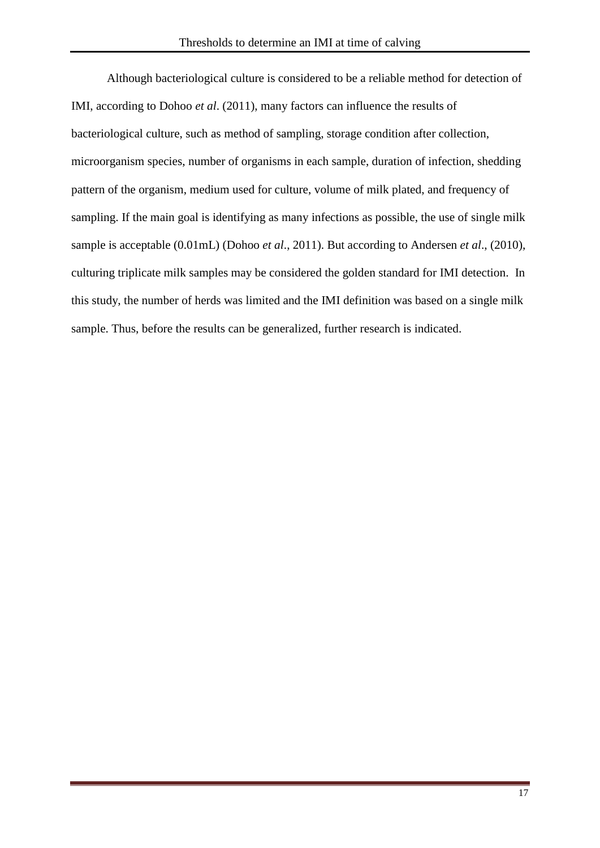Although bacteriological culture is considered to be a reliable method for detection of IMI, according to Dohoo *et al*. (2011), many factors can influence the results of bacteriological culture, such as method of sampling, storage condition after collection, microorganism species, number of organisms in each sample, duration of infection, shedding pattern of the organism, medium used for culture, volume of milk plated, and frequency of sampling. If the main goal is identifying as many infections as possible, the use of single milk sample is acceptable (0.01mL) (Dohoo *et al*., 2011). But according to Andersen *et al*., (2010), culturing triplicate milk samples may be considered the golden standard for IMI detection. In this study, the number of herds was limited and the IMI definition was based on a single milk sample. Thus, before the results can be generalized, further research is indicated.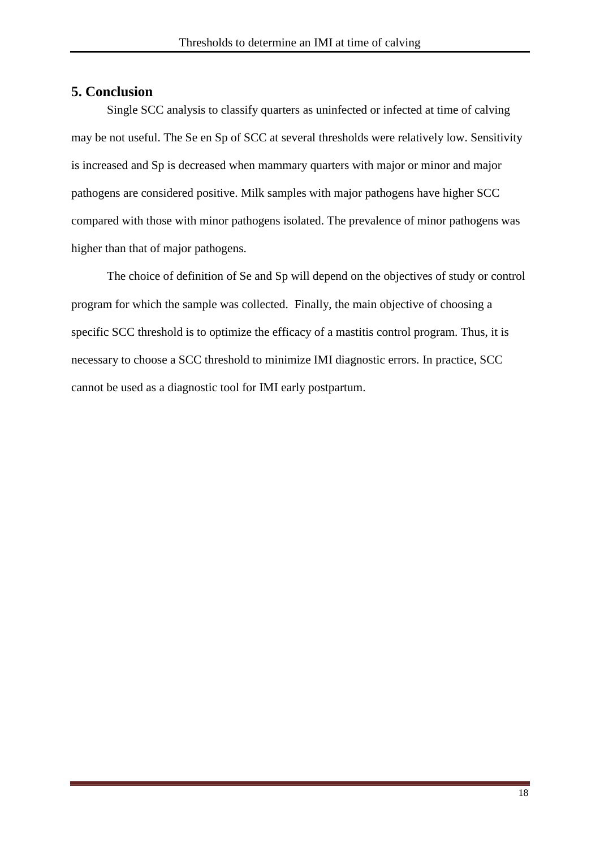## <span id="page-17-0"></span>**5. Conclusion**

Single SCC analysis to classify quarters as uninfected or infected at time of calving may be not useful. The Se en Sp of SCC at several thresholds were relatively low. Sensitivity is increased and Sp is decreased when mammary quarters with major or minor and major pathogens are considered positive. Milk samples with major pathogens have higher SCC compared with those with minor pathogens isolated. The prevalence of minor pathogens was higher than that of major pathogens.

The choice of definition of Se and Sp will depend on the objectives of study or control program for which the sample was collected. Finally, the main objective of choosing a specific SCC threshold is to optimize the efficacy of a mastitis control program. Thus, it is necessary to choose a SCC threshold to minimize IMI diagnostic errors. In practice, SCC cannot be used as a diagnostic tool for IMI early postpartum.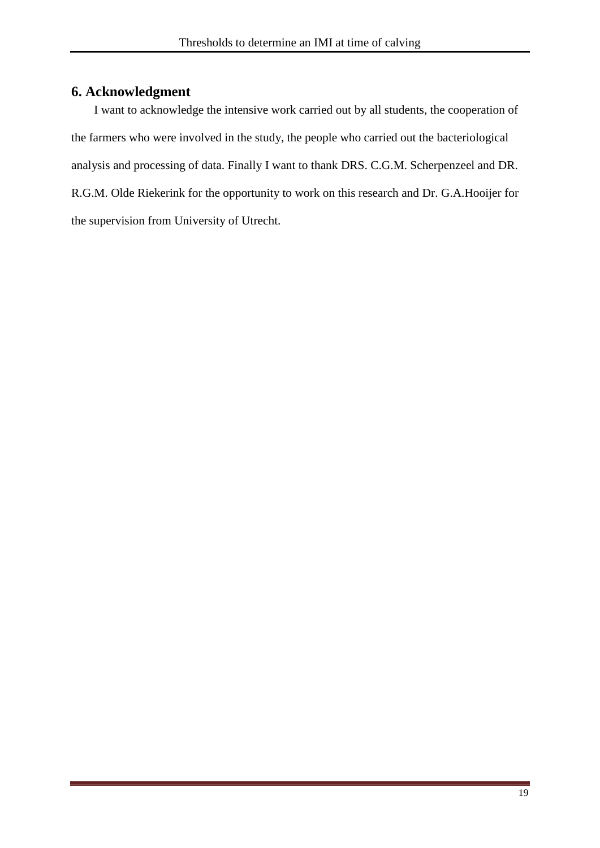# <span id="page-18-0"></span>**6. Acknowledgment**

I want to acknowledge the intensive work carried out by all students, the cooperation of the farmers who were involved in the study, the people who carried out the bacteriological analysis and processing of data. Finally I want to thank DRS. C.G.M. Scherpenzeel and DR. R.G.M. Olde Riekerink for the opportunity to work on this research and Dr. G.A.Hooijer for the supervision from University of Utrecht.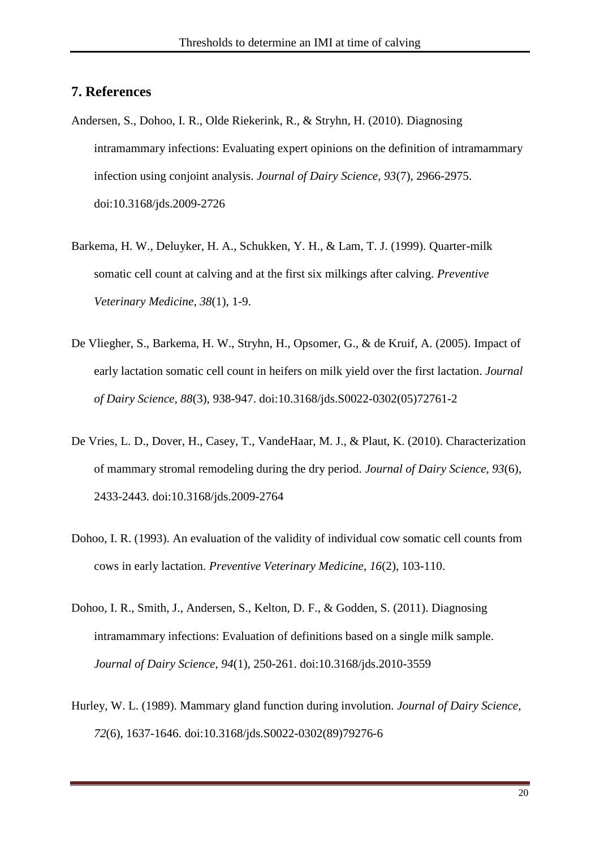## <span id="page-19-0"></span>**7. References**

- Andersen, S., Dohoo, I. R., Olde Riekerink, R., & Stryhn, H. (2010). Diagnosing intramammary infections: Evaluating expert opinions on the definition of intramammary infection using conjoint analysis. *Journal of Dairy Science, 93*(7), 2966-2975. doi:10.3168/jds.2009-2726
- Barkema, H. W., Deluyker, H. A., Schukken, Y. H., & Lam, T. J. (1999). Quarter-milk somatic cell count at calving and at the first six milkings after calving. *Preventive Veterinary Medicine, 38*(1), 1-9.
- De Vliegher, S., Barkema, H. W., Stryhn, H., Opsomer, G., & de Kruif, A. (2005). Impact of early lactation somatic cell count in heifers on milk yield over the first lactation. *Journal of Dairy Science, 88*(3), 938-947. doi:10.3168/jds.S0022-0302(05)72761-2
- De Vries, L. D., Dover, H., Casey, T., VandeHaar, M. J., & Plaut, K. (2010). Characterization of mammary stromal remodeling during the dry period. *Journal of Dairy Science, 93*(6), 2433-2443. doi:10.3168/jds.2009-2764
- Dohoo, I. R. (1993). An evaluation of the validity of individual cow somatic cell counts from cows in early lactation. *Preventive Veterinary Medicine, 16*(2), 103-110.
- Dohoo, I. R., Smith, J., Andersen, S., Kelton, D. F., & Godden, S. (2011). Diagnosing intramammary infections: Evaluation of definitions based on a single milk sample. *Journal of Dairy Science, 94*(1), 250-261. doi:10.3168/jds.2010-3559
- Hurley, W. L. (1989). Mammary gland function during involution. *Journal of Dairy Science, 72*(6), 1637-1646. doi:10.3168/jds.S0022-0302(89)79276-6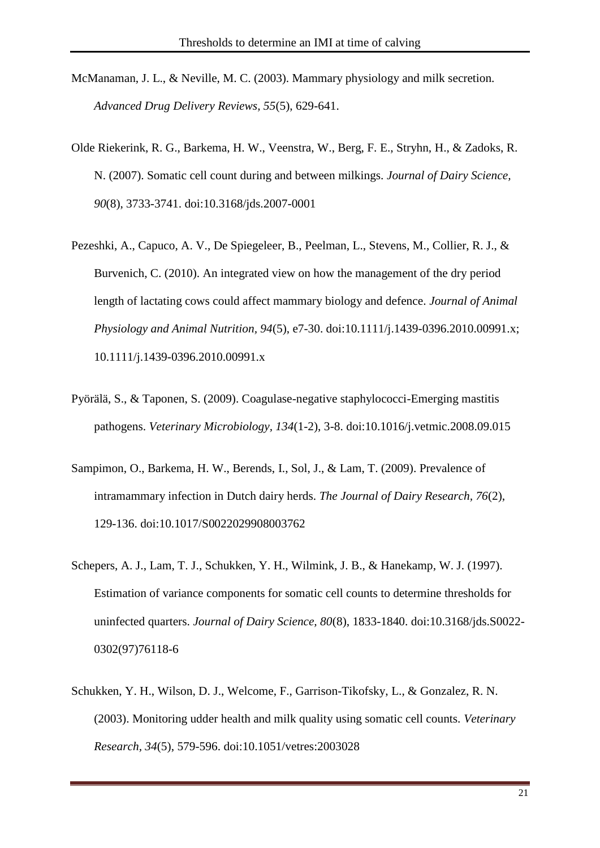- McManaman, J. L., & Neville, M. C. (2003). Mammary physiology and milk secretion. *Advanced Drug Delivery Reviews, 55*(5), 629-641.
- Olde Riekerink, R. G., Barkema, H. W., Veenstra, W., Berg, F. E., Stryhn, H., & Zadoks, R. N. (2007). Somatic cell count during and between milkings. *Journal of Dairy Science, 90*(8), 3733-3741. doi:10.3168/jds.2007-0001
- Pezeshki, A., Capuco, A. V., De Spiegeleer, B., Peelman, L., Stevens, M., Collier, R. J., & Burvenich, C. (2010). An integrated view on how the management of the dry period length of lactating cows could affect mammary biology and defence. *Journal of Animal Physiology and Animal Nutrition, 94*(5), e7-30. doi:10.1111/j.1439-0396.2010.00991.x; 10.1111/j.1439-0396.2010.00991.x
- Pyörälä, S., & Taponen, S. (2009). Coagulase-negative staphylococci-Emerging mastitis pathogens. *Veterinary Microbiology, 134*(1-2), 3-8. doi:10.1016/j.vetmic.2008.09.015
- Sampimon, O., Barkema, H. W., Berends, I., Sol, J., & Lam, T. (2009). Prevalence of intramammary infection in Dutch dairy herds. *The Journal of Dairy Research, 76*(2), 129-136. doi:10.1017/S0022029908003762
- Schepers, A. J., Lam, T. J., Schukken, Y. H., Wilmink, J. B., & Hanekamp, W. J. (1997). Estimation of variance components for somatic cell counts to determine thresholds for uninfected quarters. *Journal of Dairy Science, 80*(8), 1833-1840. doi:10.3168/jds.S0022- 0302(97)76118-6
- Schukken, Y. H., Wilson, D. J., Welcome, F., Garrison-Tikofsky, L., & Gonzalez, R. N. (2003). Monitoring udder health and milk quality using somatic cell counts. *Veterinary Research, 34*(5), 579-596. doi:10.1051/vetres:2003028